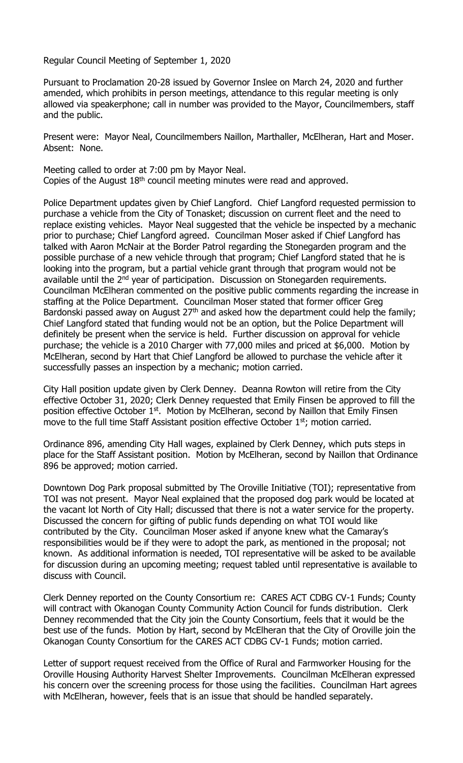Regular Council Meeting of September 1, 2020

Pursuant to Proclamation 20-28 issued by Governor Inslee on March 24, 2020 and further amended, which prohibits in person meetings, attendance to this regular meeting is only allowed via speakerphone; call in number was provided to the Mayor, Councilmembers, staff and the public.

Present were: Mayor Neal, Councilmembers Naillon, Marthaller, McElheran, Hart and Moser. Absent: None.

Meeting called to order at 7:00 pm by Mayor Neal. Copies of the August  $18<sup>th</sup>$  council meeting minutes were read and approved.

Police Department updates given by Chief Langford. Chief Langford requested permission to purchase a vehicle from the City of Tonasket; discussion on current fleet and the need to replace existing vehicles. Mayor Neal suggested that the vehicle be inspected by a mechanic prior to purchase; Chief Langford agreed. Councilman Moser asked if Chief Langford has talked with Aaron McNair at the Border Patrol regarding the Stonegarden program and the possible purchase of a new vehicle through that program; Chief Langford stated that he is looking into the program, but a partial vehicle grant through that program would not be available until the 2<sup>nd</sup> year of participation. Discussion on Stonegarden requirements. Councilman McElheran commented on the positive public comments regarding the increase in staffing at the Police Department. Councilman Moser stated that former officer Greg Bardonski passed away on August  $27<sup>th</sup>$  and asked how the department could help the family; Chief Langford stated that funding would not be an option, but the Police Department will definitely be present when the service is held. Further discussion on approval for vehicle purchase; the vehicle is a 2010 Charger with 77,000 miles and priced at \$6,000. Motion by McElheran, second by Hart that Chief Langford be allowed to purchase the vehicle after it successfully passes an inspection by a mechanic; motion carried.

City Hall position update given by Clerk Denney. Deanna Rowton will retire from the City effective October 31, 2020; Clerk Denney requested that Emily Finsen be approved to fill the position effective October 1<sup>st</sup>. Motion by McElheran, second by Naillon that Emily Finsen move to the full time Staff Assistant position effective October  $1<sup>st</sup>$ ; motion carried.

Ordinance 896, amending City Hall wages, explained by Clerk Denney, which puts steps in place for the Staff Assistant position. Motion by McElheran, second by Naillon that Ordinance 896 be approved; motion carried.

Downtown Dog Park proposal submitted by The Oroville Initiative (TOI); representative from TOI was not present. Mayor Neal explained that the proposed dog park would be located at the vacant lot North of City Hall; discussed that there is not a water service for the property. Discussed the concern for gifting of public funds depending on what TOI would like contributed by the City. Councilman Moser asked if anyone knew what the Camaray's responsibilities would be if they were to adopt the park, as mentioned in the proposal; not known. As additional information is needed, TOI representative will be asked to be available for discussion during an upcoming meeting; request tabled until representative is available to discuss with Council.

Clerk Denney reported on the County Consortium re: CARES ACT CDBG CV-1 Funds; County will contract with Okanogan County Community Action Council for funds distribution. Clerk Denney recommended that the City join the County Consortium, feels that it would be the best use of the funds. Motion by Hart, second by McElheran that the City of Oroville join the Okanogan County Consortium for the CARES ACT CDBG CV-1 Funds; motion carried.

Letter of support request received from the Office of Rural and Farmworker Housing for the Oroville Housing Authority Harvest Shelter Improvements. Councilman McElheran expressed his concern over the screening process for those using the facilities. Councilman Hart agrees with McElheran, however, feels that is an issue that should be handled separately.